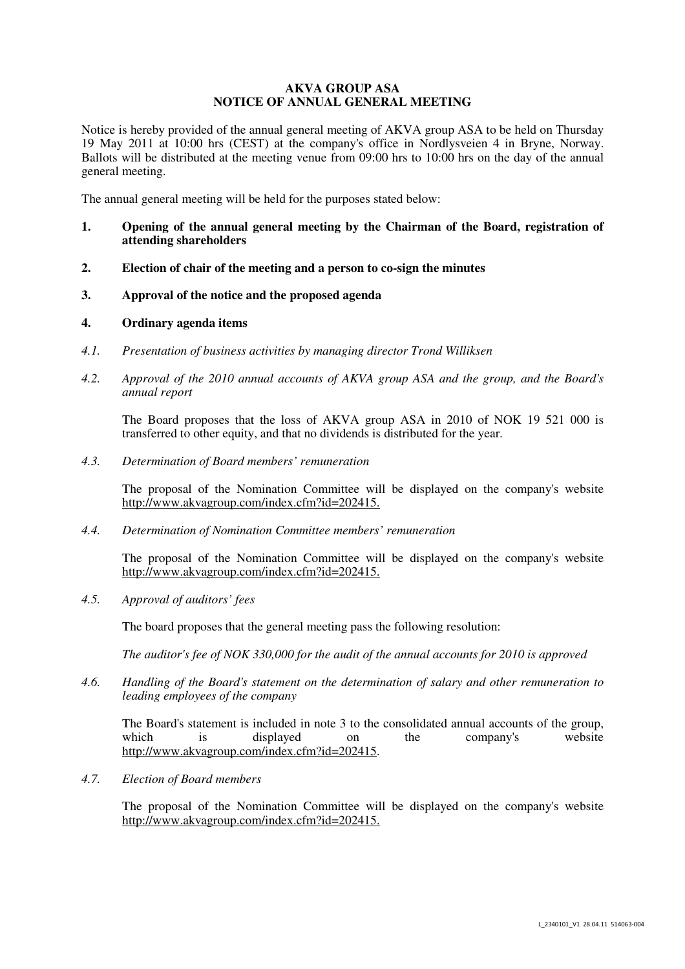# **AKVA GROUP ASA NOTICE OF ANNUAL GENERAL MEETING**

Notice is hereby provided of the annual general meeting of AKVA group ASA to be held on Thursday 19 May 2011 at 10:00 hrs (CEST) at the company's office in Nordlysveien 4 in Bryne, Norway. Ballots will be distributed at the meeting venue from 09:00 hrs to 10:00 hrs on the day of the annual general meeting.

The annual general meeting will be held for the purposes stated below:

- **1. Opening of the annual general meeting by the Chairman of the Board, registration of attending shareholders**
- **2. Election of chair of the meeting and a person to co-sign the minutes**
- **3. Approval of the notice and the proposed agenda**

## **4. Ordinary agenda items**

- *4.1. Presentation of business activities by managing director Trond Williksen*
- *4.2. Approval of the 2010 annual accounts of AKVA group ASA and the group, and the Board's annual report*

 The Board proposes that the loss of AKVA group ASA in 2010 of NOK 19 521 000 is transferred to other equity, and that no dividends is distributed for the year.

*4.3. Determination of Board members' remuneration* 

The proposal of the Nomination Committee will be displayed on the company's website http://www.akvagroup.com/index.cfm?id=202415.

*4.4. Determination of Nomination Committee members' remuneration* 

The proposal of the Nomination Committee will be displayed on the company's website http://www.akvagroup.com/index.cfm?id=202415.

*4.5. Approval of auditors' fees* 

The board proposes that the general meeting pass the following resolution:

*The auditor's fee of NOK 330,000 for the audit of the annual accounts for 2010 is approved*

*4.6. Handling of the Board's statement on the determination of salary and other remuneration to leading employees of the company* 

The Board's statement is included in note 3 to the consolidated annual accounts of the group,<br>which is displayed on the company's website which is displayed on the company's website http://www.akvagroup.com/index.cfm?id=202415.

*4.7. Election of Board members* 

The proposal of the Nomination Committee will be displayed on the company's website http://www.akvagroup.com/index.cfm?id=202415.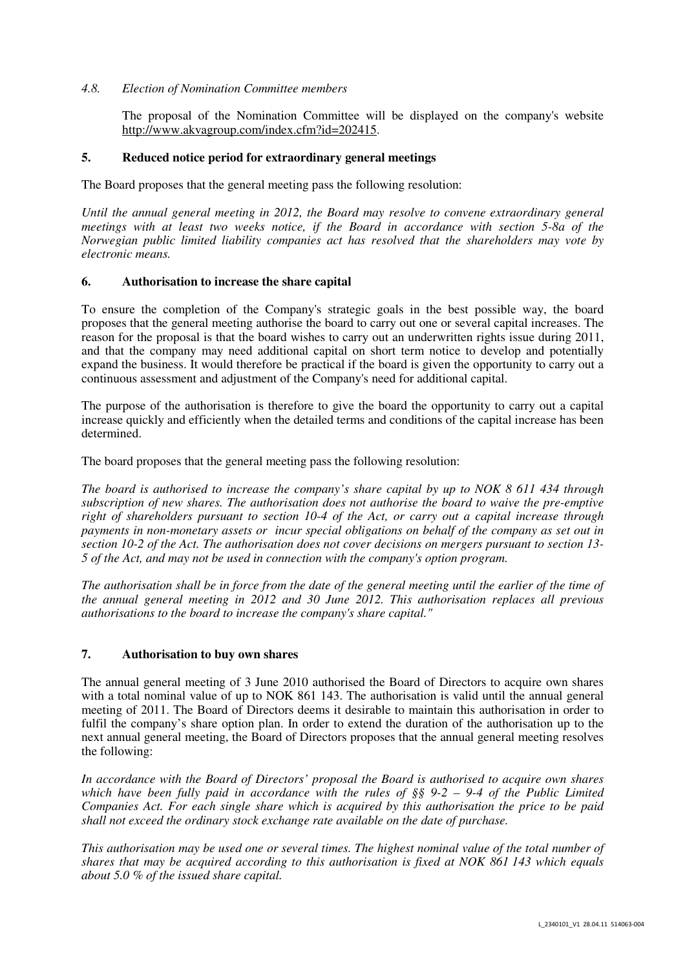## *4.8. Election of Nomination Committee members*

The proposal of the Nomination Committee will be displayed on the company's website http://www.akvagroup.com/index.cfm?id=202415.

## **5. Reduced notice period for extraordinary general meetings**

The Board proposes that the general meeting pass the following resolution:

*Until the annual general meeting in 2012, the Board may resolve to convene extraordinary general meetings with at least two weeks notice, if the Board in accordance with section 5-8a of the Norwegian public limited liability companies act has resolved that the shareholders may vote by electronic means.* 

## **6. Authorisation to increase the share capital**

To ensure the completion of the Company's strategic goals in the best possible way, the board proposes that the general meeting authorise the board to carry out one or several capital increases. The reason for the proposal is that the board wishes to carry out an underwritten rights issue during 2011, and that the company may need additional capital on short term notice to develop and potentially expand the business. It would therefore be practical if the board is given the opportunity to carry out a continuous assessment and adjustment of the Company's need for additional capital.

The purpose of the authorisation is therefore to give the board the opportunity to carry out a capital increase quickly and efficiently when the detailed terms and conditions of the capital increase has been determined.

The board proposes that the general meeting pass the following resolution:

*The board is authorised to increase the company's share capital by up to NOK 8 611 434 through subscription of new shares. The authorisation does not authorise the board to waive the pre-emptive right of shareholders pursuant to section 10-4 of the Act, or carry out a capital increase through payments in non-monetary assets or incur special obligations on behalf of the company as set out in section 10-2 of the Act. The authorisation does not cover decisions on mergers pursuant to section 13- 5 of the Act, and may not be used in connection with the company's option program.* 

*The authorisation shall be in force from the date of the general meeting until the earlier of the time of the annual general meeting in 2012 and 30 June 2012. This authorisation replaces all previous authorisations to the board to increase the company's share capital."* 

# **7. Authorisation to buy own shares**

The annual general meeting of 3 June 2010 authorised the Board of Directors to acquire own shares with a total nominal value of up to NOK 861 143. The authorisation is valid until the annual general meeting of 2011. The Board of Directors deems it desirable to maintain this authorisation in order to fulfil the company's share option plan. In order to extend the duration of the authorisation up to the next annual general meeting, the Board of Directors proposes that the annual general meeting resolves the following:

*In accordance with the Board of Directors' proposal the Board is authorised to acquire own shares which have been fully paid in accordance with the rules of §§ 9-2 – 9-4 of the Public Limited Companies Act. For each single share which is acquired by this authorisation the price to be paid shall not exceed the ordinary stock exchange rate available on the date of purchase.* 

*This authorisation may be used one or several times. The highest nominal value of the total number of shares that may be acquired according to this authorisation is fixed at NOK 861 143 which equals about 5.0 % of the issued share capital.*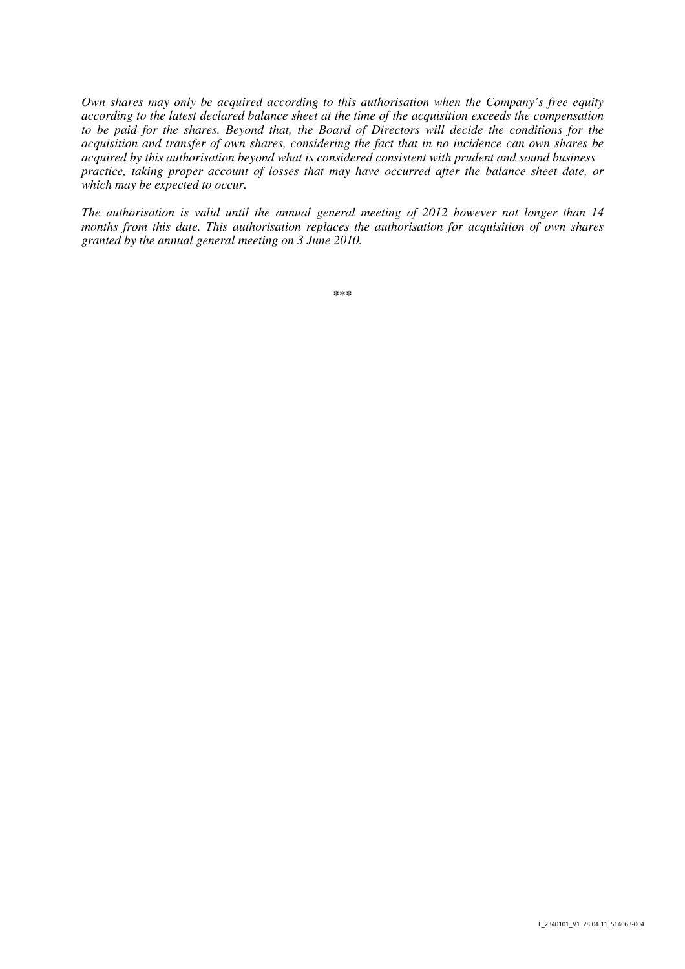*Own shares may only be acquired according to this authorisation when the Company's free equity according to the latest declared balance sheet at the time of the acquisition exceeds the compensation to be paid for the shares. Beyond that, the Board of Directors will decide the conditions for the acquisition and transfer of own shares, considering the fact that in no incidence can own shares be acquired by this authorisation beyond what is considered consistent with prudent and sound business practice, taking proper account of losses that may have occurred after the balance sheet date, or which may be expected to occur.* 

*The authorisation is valid until the annual general meeting of 2012 however not longer than 14 months from this date. This authorisation replaces the authorisation for acquisition of own shares granted by the annual general meeting on 3 June 2010.* 

\*\*\*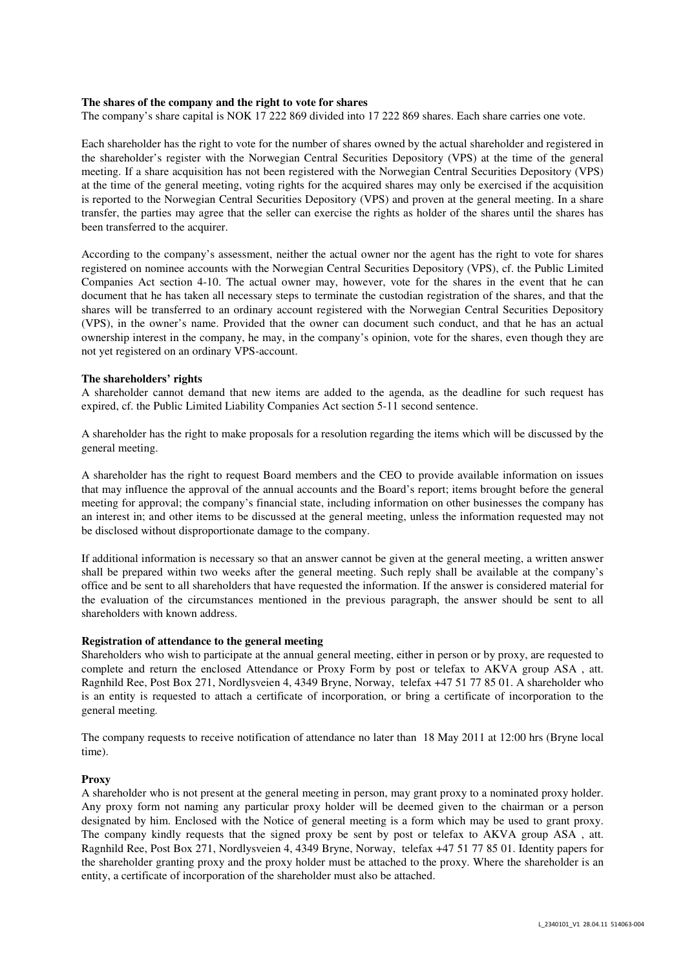#### **The shares of the company and the right to vote for shares**

The company's share capital is NOK 17 222 869 divided into 17 222 869 shares. Each share carries one vote.

Each shareholder has the right to vote for the number of shares owned by the actual shareholder and registered in the shareholder's register with the Norwegian Central Securities Depository (VPS) at the time of the general meeting. If a share acquisition has not been registered with the Norwegian Central Securities Depository (VPS) at the time of the general meeting, voting rights for the acquired shares may only be exercised if the acquisition is reported to the Norwegian Central Securities Depository (VPS) and proven at the general meeting. In a share transfer, the parties may agree that the seller can exercise the rights as holder of the shares until the shares has been transferred to the acquirer.

According to the company's assessment, neither the actual owner nor the agent has the right to vote for shares registered on nominee accounts with the Norwegian Central Securities Depository (VPS), cf. the Public Limited Companies Act section 4-10. The actual owner may, however, vote for the shares in the event that he can document that he has taken all necessary steps to terminate the custodian registration of the shares, and that the shares will be transferred to an ordinary account registered with the Norwegian Central Securities Depository (VPS), in the owner's name. Provided that the owner can document such conduct, and that he has an actual ownership interest in the company, he may, in the company's opinion, vote for the shares, even though they are not yet registered on an ordinary VPS-account.

#### **The shareholders' rights**

A shareholder cannot demand that new items are added to the agenda, as the deadline for such request has expired, cf. the Public Limited Liability Companies Act section 5-11 second sentence.

A shareholder has the right to make proposals for a resolution regarding the items which will be discussed by the general meeting.

A shareholder has the right to request Board members and the CEO to provide available information on issues that may influence the approval of the annual accounts and the Board's report; items brought before the general meeting for approval; the company's financial state, including information on other businesses the company has an interest in; and other items to be discussed at the general meeting, unless the information requested may not be disclosed without disproportionate damage to the company.

If additional information is necessary so that an answer cannot be given at the general meeting, a written answer shall be prepared within two weeks after the general meeting. Such reply shall be available at the company's office and be sent to all shareholders that have requested the information. If the answer is considered material for the evaluation of the circumstances mentioned in the previous paragraph, the answer should be sent to all shareholders with known address.

#### **Registration of attendance to the general meeting**

Shareholders who wish to participate at the annual general meeting, either in person or by proxy, are requested to complete and return the enclosed Attendance or Proxy Form by post or telefax to AKVA group ASA , att. Ragnhild Ree, Post Box 271, Nordlysveien 4, 4349 Bryne, Norway, telefax +47 51 77 85 01. A shareholder who is an entity is requested to attach a certificate of incorporation, or bring a certificate of incorporation to the general meeting*.*

The company requests to receive notification of attendance no later than 18 May 2011 at 12:00 hrs (Bryne local time).

#### **Proxy**

A shareholder who is not present at the general meeting in person, may grant proxy to a nominated proxy holder. Any proxy form not naming any particular proxy holder will be deemed given to the chairman or a person designated by him. Enclosed with the Notice of general meeting is a form which may be used to grant proxy. The company kindly requests that the signed proxy be sent by post or telefax to AKVA group ASA , att. Ragnhild Ree, Post Box 271, Nordlysveien 4, 4349 Bryne, Norway, telefax +47 51 77 85 01. Identity papers for the shareholder granting proxy and the proxy holder must be attached to the proxy. Where the shareholder is an entity, a certificate of incorporation of the shareholder must also be attached.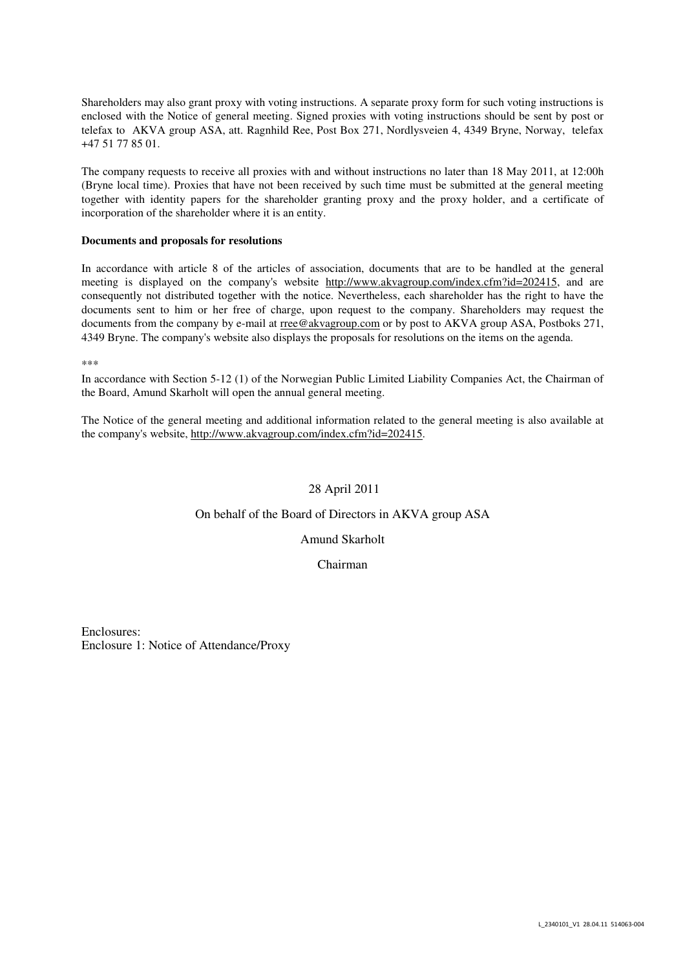Shareholders may also grant proxy with voting instructions. A separate proxy form for such voting instructions is enclosed with the Notice of general meeting. Signed proxies with voting instructions should be sent by post or telefax to AKVA group ASA, att. Ragnhild Ree, Post Box 271, Nordlysveien 4, 4349 Bryne, Norway, telefax +47 51 77 85 01.

The company requests to receive all proxies with and without instructions no later than 18 May 2011, at 12:00h (Bryne local time). Proxies that have not been received by such time must be submitted at the general meeting together with identity papers for the shareholder granting proxy and the proxy holder, and a certificate of incorporation of the shareholder where it is an entity.

### **Documents and proposals for resolutions**

In accordance with article 8 of the articles of association, documents that are to be handled at the general meeting is displayed on the company's website http://www.akvagroup.com/index.cfm?id=202415, and are consequently not distributed together with the notice. Nevertheless, each shareholder has the right to have the documents sent to him or her free of charge, upon request to the company. Shareholders may request the documents from the company by e-mail at rree@akvagroup.com or by post to AKVA group ASA, Postboks 271, 4349 Bryne. The company's website also displays the proposals for resolutions on the items on the agenda.

\*\*\*

In accordance with Section 5-12 (1) of the Norwegian Public Limited Liability Companies Act, the Chairman of the Board, Amund Skarholt will open the annual general meeting.

The Notice of the general meeting and additional information related to the general meeting is also available at the company's website, http://www.akvagroup.com/index.cfm?id=202415.

# 28 April 2011

## On behalf of the Board of Directors in AKVA group ASA

Amund Skarholt

Chairman

Enclosures: Enclosure 1: Notice of Attendance/Proxy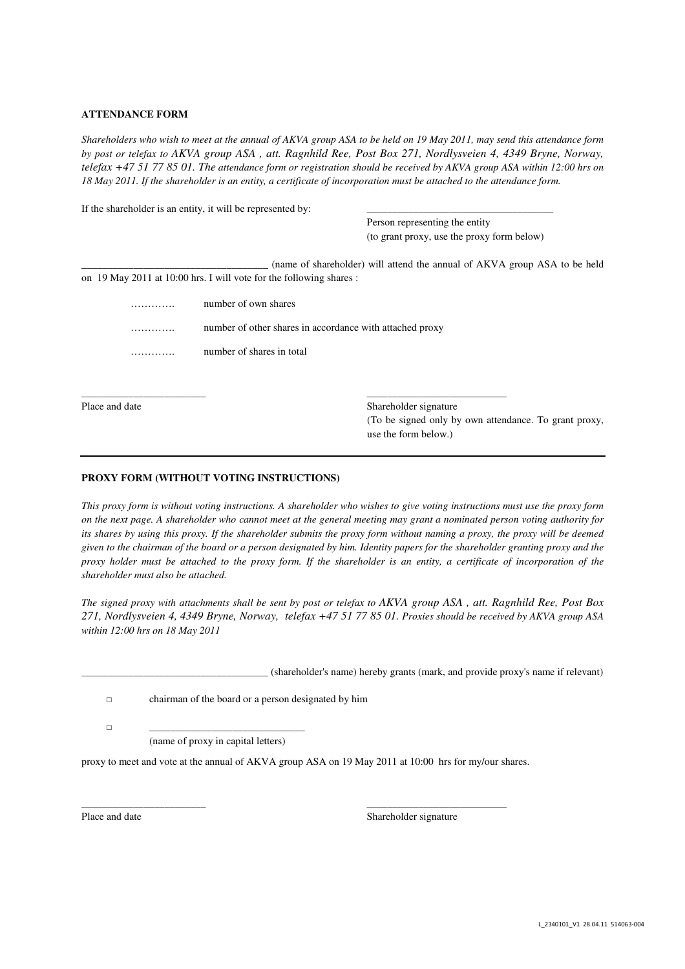### **ATTENDANCE FORM**

*Shareholders who wish to meet at the annual of AKVA group ASA to be held on 19 May 2011, may send this attendance form by post or telefax to AKVA group ASA , att. Ragnhild Ree, Post Box 271, Nordlysveien 4, 4349 Bryne, Norway, telefax +47 51 77 85 01. The attendance form or registration should be received by AKVA group ASA within 12:00 hrs on 18 May 2011. If the shareholder is an entity, a certificate of incorporation must be attached to the attendance form.* 

|                | If the shareholder is an entity, it will be represented by:         |                                                                               |  |  |  |  |  |
|----------------|---------------------------------------------------------------------|-------------------------------------------------------------------------------|--|--|--|--|--|
|                |                                                                     | Person representing the entity                                                |  |  |  |  |  |
|                |                                                                     | (to grant proxy, use the proxy form below)                                    |  |  |  |  |  |
|                |                                                                     | (name of shareholder) will attend the annual of AKVA group ASA to be held     |  |  |  |  |  |
|                | on 19 May 2011 at 10:00 hrs. I will vote for the following shares : |                                                                               |  |  |  |  |  |
| .              | number of own shares                                                |                                                                               |  |  |  |  |  |
| .              |                                                                     | number of other shares in accordance with attached proxy                      |  |  |  |  |  |
|                | number of shares in total                                           |                                                                               |  |  |  |  |  |
|                |                                                                     |                                                                               |  |  |  |  |  |
| Place and date |                                                                     | Shareholder signature                                                         |  |  |  |  |  |
|                |                                                                     | (To be signed only by own attendance. To grant proxy,<br>use the form below.) |  |  |  |  |  |

### **PROXY FORM (WITHOUT VOTING INSTRUCTIONS)**

*This proxy form is without voting instructions. A shareholder who wishes to give voting instructions must use the proxy form on the next page. A shareholder who cannot meet at the general meeting may grant a nominated person voting authority for its shares by using this proxy. If the shareholder submits the proxy form without naming a proxy, the proxy will be deemed given to the chairman of the board or a person designated by him. Identity papers for the shareholder granting proxy and the proxy holder must be attached to the proxy form. If the shareholder is an entity, a certificate of incorporation of the shareholder must also be attached.* 

*The signed proxy with attachments shall be sent by post or telefax to AKVA group ASA , att. Ragnhild Ree, Post Box 271, Nordlysveien 4, 4349 Bryne, Norway, telefax +47 51 77 85 01. Proxies should be received by AKVA group ASA within 12:00 hrs on 18 May 2011* 

\_\_\_\_\_\_\_\_\_\_\_\_\_\_\_\_\_\_\_\_\_\_\_\_\_\_\_\_\_\_\_\_\_\_\_\_ (shareholder's name) hereby grants (mark, and provide proxy's name if relevant)

□ chairman of the board or a person designated by him

□ \_\_\_\_\_\_\_\_\_\_\_\_\_\_\_\_\_\_\_\_\_\_\_\_\_\_\_\_\_\_ (name of proxy in capital letters)

proxy to meet and vote at the annual of AKVA group ASA on 19 May 2011 at 10:00 hrs for my/our shares.

\_\_\_\_\_\_\_\_\_\_\_\_\_\_\_\_\_\_\_\_\_\_\_\_ \_\_\_\_\_\_\_\_\_\_\_\_\_\_\_\_\_\_\_\_\_\_\_\_\_\_\_

Place and date Shareholder signature Shareholder signature